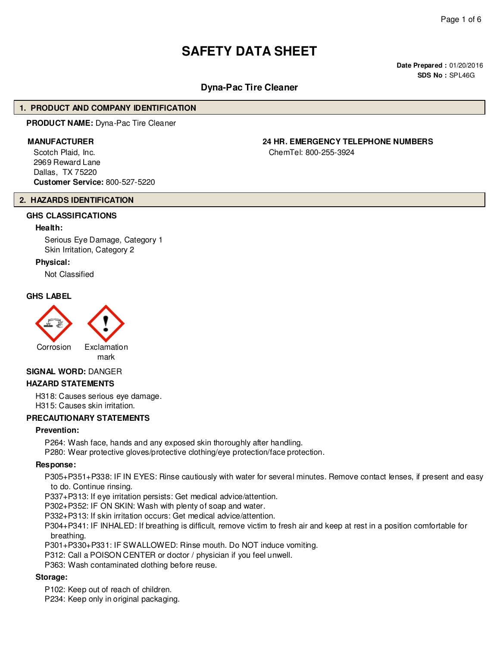# **SAFETY DATA SHEET**

**Date Prepared :** 01/20/2016 **SDS No :** SPL46G

# **Dyna-Pac Tire Cleaner**

#### **1. PRODUCT AND COMPANY IDENTIFICATION**

**PRODUCT NAME:** Dyna-Pac Tire Cleaner

Scotch Plaid, Inc. 2969 Reward Lane Dallas, TX 75220 **Customer Service:** 800-527-5220

# **2. HAZARDS IDENTIFICATION**

# **GHS CLASSIFICATIONS**

#### **Health:**

Serious Eye Damage, Category 1 Skin Irritation, Category 2

#### **Physical:**

Not Classified

#### **GHS LABEL**



#### **SIGNAL WORD:** DANGER

#### **HAZARD STATEMENTS**

H318: Causes serious eye damage. H315: Causes skin irritation.

#### **PRECAUTIONARY STATEMENTS**

#### **Prevention:**

P264: Wash face, hands and any exposed skin thoroughly after handling.

P280: Wear protective gloves/protective clothing/eye protection/face protection.

#### **Response:**

P305+P351+P338: IF IN EYES: Rinse cautiously with water for several minutes. Remove contact lenses, if present and easy to do. Continue rinsing.

P337+P313: If eye irritation persists: Get medical advice/attention.

P302+P352: IF ON SKIN: Wash with plenty of soap and water.

P332+P313: If skin irritation occurs: Get medical advice/attention.

P304+P341: IF INHALED: If breathing is difficult, remove victim to fresh air and keep at rest in a position comfortable for breathing.

P301+P330+P331: IF SWALLOWED: Rinse mouth. Do NOT induce vomiting.

P312: Call a POISON CENTER or doctor / physician if you feel unwell.

P363: Wash contaminated clothing before reuse.

#### **Storage:**

P102: Keep out of reach of children.

P234: Keep only in original packaging.

# **MANUFACTURER 24 HR. EMERGENCY TELEPHONE NUMBERS**

ChemTel: 800-255-3924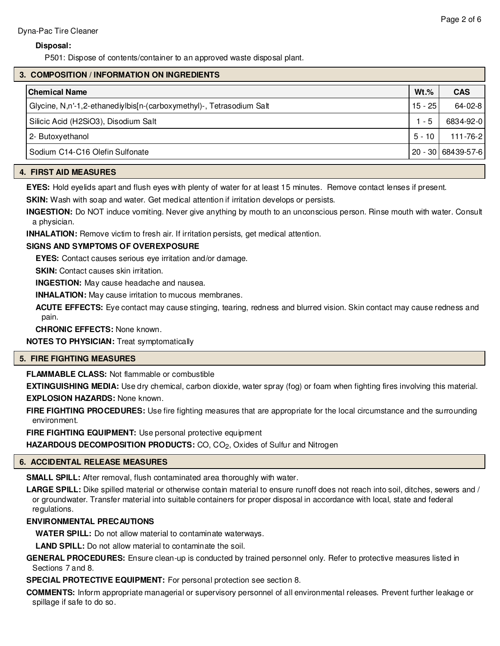#### **Disposal:**

P501: Dispose of contents/container to an approved waste disposal plant.

#### **3. COMPOSITION / INFORMATION ON INGREDIENTS**

| <b>Chemical Name</b>                                                 | $Wt.$ %   | <b>CAS</b>           |
|----------------------------------------------------------------------|-----------|----------------------|
| Glycine, N,n'-1,2-ethanediylbis[n-(carboxymethyl)-, Tetrasodium Salt | $15 - 25$ | 64-02-8              |
| Silicic Acid (H2SiO3), Disodium Salt                                 | $1 - 5$   | 6834-92-0            |
| 2- Butoxyethanol                                                     | $5 - 10$  | $111 - 76 - 2$       |
| Sodium C14-C16 Olefin Sulfonate                                      |           | 20 - 30   68439-57-6 |

#### **4. FIRST AID MEASURES**

**EYES:** Hold eyelids apart and flush eyes with plenty of water for at least 15 minutes. Remove contact lenses if present.

**SKIN:** Wash with soap and water. Get medical attention if irritation develops or persists.

**INGESTION:** Do NOT induce vomiting. Never give anything by mouth to an unconscious person. Rinse mouth with water. Consult a physician.

**INHALATION:** Remove victim to fresh air. If irritation persists, get medical attention.

#### **SIGNS AND SYMPTOMS OF OVEREXPOSURE**

**EYES:** Contact causes serious eye irritation and/or damage.

**SKIN:** Contact causes skin irritation.

**INGESTION:** May cause headache and nausea.

**INHALATION:** May cause irritation to mucous membranes.

**ACUTE EFFECTS:** Eye contact may cause stinging, tearing, redness and blurred vision. Skin contact may cause redness and pain.

**CHRONIC EFFECTS:** None known.

**NOTES TO PHYSICIAN:** Treat symptomatically

#### **5. FIRE FIGHTING MEASURES**

**FLAMMABLE CLASS:** Not flammable or combustible

**EXTINGUISHING MEDIA:** Use dry chemical, carbon dioxide, water spray (fog) or foam when fighting fires involving this material. **EXPLOSION HAZARDS:** None known.

**FIRE FIGHTING PROCEDURES:** Use fire fighting measures that are appropriate for the local circumstance and the surrounding environment.

**FIRE FIGHTING EQUIPMENT:** Use personal protective equipment

**HAZARDOUS DECOMPOSITION PRODUCTS:** CO, CO<sub>2</sub>, Oxides of Sulfur and Nitrogen

# **6. ACCIDENTAL RELEASE MEASURES**

**SMALL SPILL:** After removal, flush contaminated area thoroughly with water.

**LARGE SPILL:** Dike spilled material or otherwise contain material to ensure runoff does not reach into soil, ditches, sewers and / or groundwater. Transfer material into suitable containers for proper disposal in accordance with local, state and federal regulations.

# **ENVIRONMENTAL PRECAUTIONS**

**WATER SPILL:** Do not allow material to contaminate waterways.

**LAND SPILL:** Do not allow material to contaminate the soil.

**GENERAL PROCEDURES:** Ensure clean-up is conducted by trained personnel only. Refer to protective measures listed in Sections 7 and 8.

**SPECIAL PROTECTIVE EQUIPMENT:** For personal protection see section 8.

**COMMENTS:** Inform appropriate managerial or supervisory personnel of all environmental releases. Prevent further leakage or spillage if safe to do so.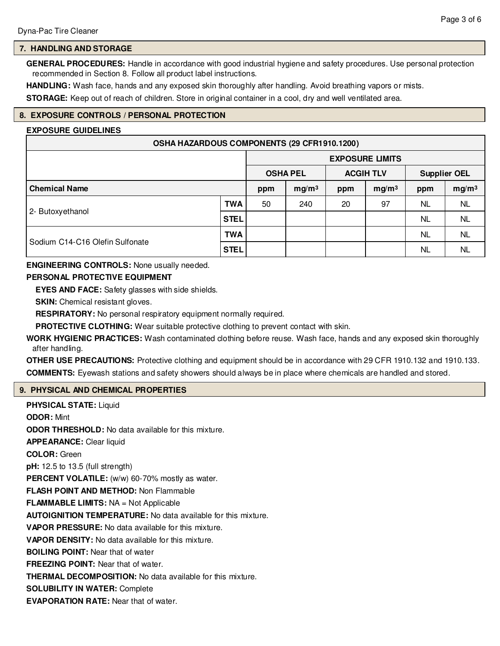# **7. HANDLING AND STORAGE**

**GENERAL PROCEDURES:** Handle in accordance with good industrial hygiene and safety procedures. Use personal protection recommended in Section 8. Follow all product label instructions.

**HANDLING:** Wash face, hands and any exposed skin thoroughly after handling. Avoid breathing vapors or mists.

**STORAGE:** Keep out of reach of children. Store in original container in a cool, dry and well ventilated area.

# **8. EXPOSURE CONTROLS / PERSONAL PROTECTION**

#### **EXPOSURE GUIDELINES**

| OSHA HAZARDOUS COMPONENTS (29 CFR1910.1200) |             |                        |                   |                  |                   |                     |                   |
|---------------------------------------------|-------------|------------------------|-------------------|------------------|-------------------|---------------------|-------------------|
|                                             |             | <b>EXPOSURE LIMITS</b> |                   |                  |                   |                     |                   |
|                                             |             | <b>OSHA PEL</b>        |                   | <b>ACGIH TLV</b> |                   | <b>Supplier OEL</b> |                   |
| <b>Chemical Name</b>                        |             | ppm                    | mg/m <sup>3</sup> | ppm              | mg/m <sup>3</sup> | ppm                 | mg/m <sup>3</sup> |
|                                             | <b>TWA</b>  | 50                     | 240               | 20               | 97                | <b>NL</b>           | <b>NL</b>         |
| 2- Butoxyethanol                            | <b>STEL</b> |                        |                   |                  |                   | <b>NL</b>           | <b>NL</b>         |
| Sodium C14-C16 Olefin Sulfonate             | TWA         |                        |                   |                  |                   | <b>NL</b>           | <b>NL</b>         |
|                                             | <b>STEL</b> |                        |                   |                  |                   | NL                  | NL                |

#### **ENGINEERING CONTROLS:** None usually needed.

#### **PERSONAL PROTECTIVE EQUIPMENT**

**EYES AND FACE:** Safety glasses with side shields.

**SKIN:** Chemical resistant gloves.

**RESPIRATORY:** No personal respiratory equipment normally required.

**PROTECTIVE CLOTHING:** Wear suitable protective clothing to prevent contact with skin.

**WORK HYGIENIC PRACTICES:** Wash contaminated clothing before reuse. Wash face, hands and any exposed skin thoroughly after handling.

**OTHER USE PRECAUTIONS:** Protective clothing and equipment should be in accordance with 29 CFR 1910.132 and 1910.133. **COMMENTS:** Eyewash stations and safety showers should always be in place where chemicals are handled and stored.

#### **9. PHYSICAL AND CHEMICAL PROPERTIES**

**PHYSICAL STATE:** Liquid **ODOR:** Mint **ODOR THRESHOLD:** No data available for this mixture. **APPEARANCE:** Clear liquid **COLOR:** Green **pH:** 12.5 to 13.5 (full strength) PERCENT VOLATILE: (w/w) 60-70% mostly as water. **FLASH POINT AND METHOD:** Non Flammable **FLAMMABLE LIMITS:** NA = Not Applicable **AUTOIGNITION TEMPERATURE:** No data available for this mixture. **VAPOR PRESSURE:** No data available for this mixture. **VAPOR DENSITY:** No data available for this mixture. **BOILING POINT:** Near that of water **FREEZING POINT:** Near that of water. **THERMAL DECOMPOSITION:** No data available for this mixture. **SOLUBILITY IN WATER:** Complete **EVAPORATION RATE:** Near that of water.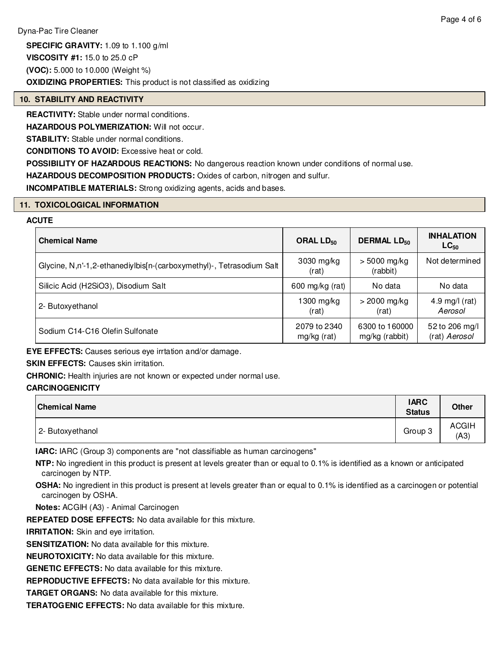**SPECIFIC GRAVITY:** 1.09 to 1.100 g/ml

**VISCOSITY #1:** 15.0 to 25.0 cP

**(VOC):** 5.000 to 10.000 (Weight %)

**OXIDIZING PROPERTIES:** This product is not classified as oxidizing

#### **10. STABILITY AND REACTIVITY**

**REACTIVITY:** Stable under normal conditions.

**HAZARDOUS POLYMERIZATION:** Will not occur.

**STABILITY:** Stable under normal conditions.

**CONDITIONS TO AVOID:** Excessive heat or cold.

**POSSIBILITY OF HAZARDOUS REACTIONS:** No dangerous reaction known under conditions of normal use.

**HAZARDOUS DECOMPOSITION PRODUCTS:** Oxides of carbon, nitrogen and sulfur.

**INCOMPATIBLE MATERIALS:** Strong oxidizing agents, acids and bases.

#### **11. TOXICOLOGICAL INFORMATION**

# **ACUTE**

| <b>Chemical Name</b>                                                 | ORAL $LD_{50}$              | <b>DERMAL LD<sub>50</sub></b>    | <b>INHALATION</b><br>$LC_{50}$  |  |
|----------------------------------------------------------------------|-----------------------------|----------------------------------|---------------------------------|--|
| Glycine, N,n'-1,2-ethanediylbis[n-(carboxymethyl)-, Tetrasodium Salt | 3030 mg/kg<br>(rat)         | $> 5000$ mg/kg<br>(rabbit)       | Not determined                  |  |
| Silicic Acid (H2SiO3), Disodium Salt                                 | 600 mg/kg (rat)             | No data                          | No data                         |  |
| 2- Butoxyethanol                                                     | l 300 mg/kg<br>(rat)        | $>$ 2000 mg/kg<br>(rat)          | 4.9 mg/l $(rat)$<br>Aerosol     |  |
| Sodium C14-C16 Olefin Sulfonate                                      | 2079 to 2340<br>mg/kg (rat) | 6300 to 160000<br>mg/kg (rabbit) | 52 to 206 mg/l<br>(rat) Aerosol |  |

**EYE EFFECTS:** Causes serious eye irrtation and/or damage.

**SKIN EFFECTS: Causes skin irritation.** 

**CHRONIC:** Health injuries are not known or expected under normal use.

# **CARCINOGENICITY**

| <b>Chemical Name</b> | <b>IARC</b><br><b>Status</b> | <b>Other</b>         |
|----------------------|------------------------------|----------------------|
| 2- Butoxyethanol     | Group 3                      | <b>ACGIH</b><br>(A3) |

**IARC:** IARC (Group 3) components are "not classifiable as human carcinogens"

**NTP:** No ingredient in this product is present at levels greater than or equal to 0.1% is identified as a known or anticipated carcinogen by NTP.

**OSHA:** No ingredient in this product is present at levels greater than or equal to 0.1% is identified as a carcinogen or potential carcinogen by OSHA.

**Notes:** ACGIH (A3) - Animal Carcinogen

**REPEATED DOSE EFFECTS:** No data available for this mixture.

**IRRITATION:** Skin and eye irritation.

**SENSITIZATION:** No data available for this mixture.

**NEUROTOXICITY:** No data available for this mixture.

**GENETIC EFFECTS:** No data available for this mixture.

**REPRODUCTIVE EFFECTS:** No data available for this mixture.

**TARGET ORGANS:** No data available for this mixture.

**TERATOGENIC EFFECTS:** No data available for this mixture.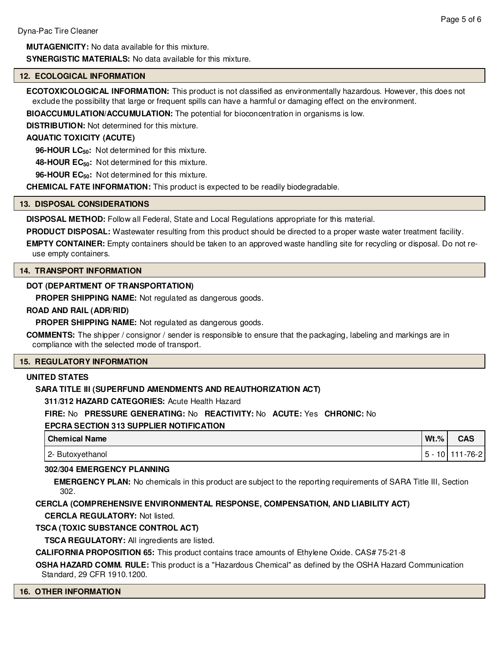**MUTAGENICITY:** No data available for this mixture. **SYNERGISTIC MATERIALS:** No data available for this mixture.

#### **12. ECOLOGICAL INFORMATION**

**ECOTOXICOLOGICAL INFORMATION:** This product is not classified as environmentally hazardous. However, this does not exclude the possibility that large or frequent spills can have a harmful or damaging effect on the environment.

**BIOACCUMULATION/ACCUMULATION:** The potential for bioconcentration in organisms is low.

**DISTRIBUTION:** Not determined for this mixture.

#### **AQUATIC TOXICITY (ACUTE)**

**96-HOUR LC50:** Not determined for this mixture.

**48-HOUR EC50:** Not determined for this mixture.

**96-HOUR EC50:** Not determined for this mixture.

**CHEMICAL FATE INFORMATION:** This product is expected to be readily biodegradable.

#### **13. DISPOSAL CONSIDERATIONS**

**DISPOSAL METHOD:** Follow all Federal, State and Local Regulations appropriate for this material.

**PRODUCT DISPOSAL:** Wastewater resulting from this product should be directed to a proper waste water treatment facility.

**EMPTY CONTAINER:** Empty containers should be taken to an approved waste handling site for recycling or disposal. Do not reuse empty containers.

#### **14. TRANSPORT INFORMATION**

#### **DOT (DEPARTMENT OF TRANSPORTATION)**

**PROPER SHIPPING NAME:** Not regulated as dangerous goods.

#### **ROAD AND RAIL (ADR/RID)**

**PROPER SHIPPING NAME:** Not regulated as dangerous goods.

**COMMENTS:** The shipper / consignor / sender is responsible to ensure that the packaging, labeling and markings are in compliance with the selected mode of transport.

#### **15. REGULATORY INFORMATION**

#### **UNITED STATES**

# **SARA TITLE III (SUPERFUND AMENDMENTS AND REAUTHORIZATION ACT)**

**311/312 HAZARD CATEGORIES:** Acute Health Hazard

# **FIRE:** No **PRESSURE GENERATING:** No **REACTIVITY:** No **ACUTE:** Yes **CHRONIC:** No

#### **EPCRA SECTION 313 SUPPLIER NOTIFICATION**

| <b>Chemical Name</b> | $Wt.\%$ | CAS           |
|----------------------|---------|---------------|
| 2- Butoxyethanol     | . ს -   | 10   111-76-2 |

#### **302/304 EMERGENCY PLANNING**

**EMERGENCY PLAN:** No chemicals in this product are subject to the reporting requirements of SARA Title III, Section 302.

# **CERCLA (COMPREHENSIVE ENVIRONMENTAL RESPONSE, COMPENSATION, AND LIABILITY ACT)**

**CERCLA REGULATORY:** Not listed.

# **TSCA (TOXIC SUBSTANCE CONTROL ACT)**

**TSCA REGULATORY:** All ingredients are listed.

**CALIFORNIA PROPOSITION 65:** This product contains trace amounts of Ethylene Oxide. CAS# 75-21-8

**OSHA HAZARD COMM. RULE:** This product is a "Hazardous Chemical" as defined by the OSHA Hazard Communication Standard, 29 CFR 1910.1200.

#### **16. OTHER INFORMATION**